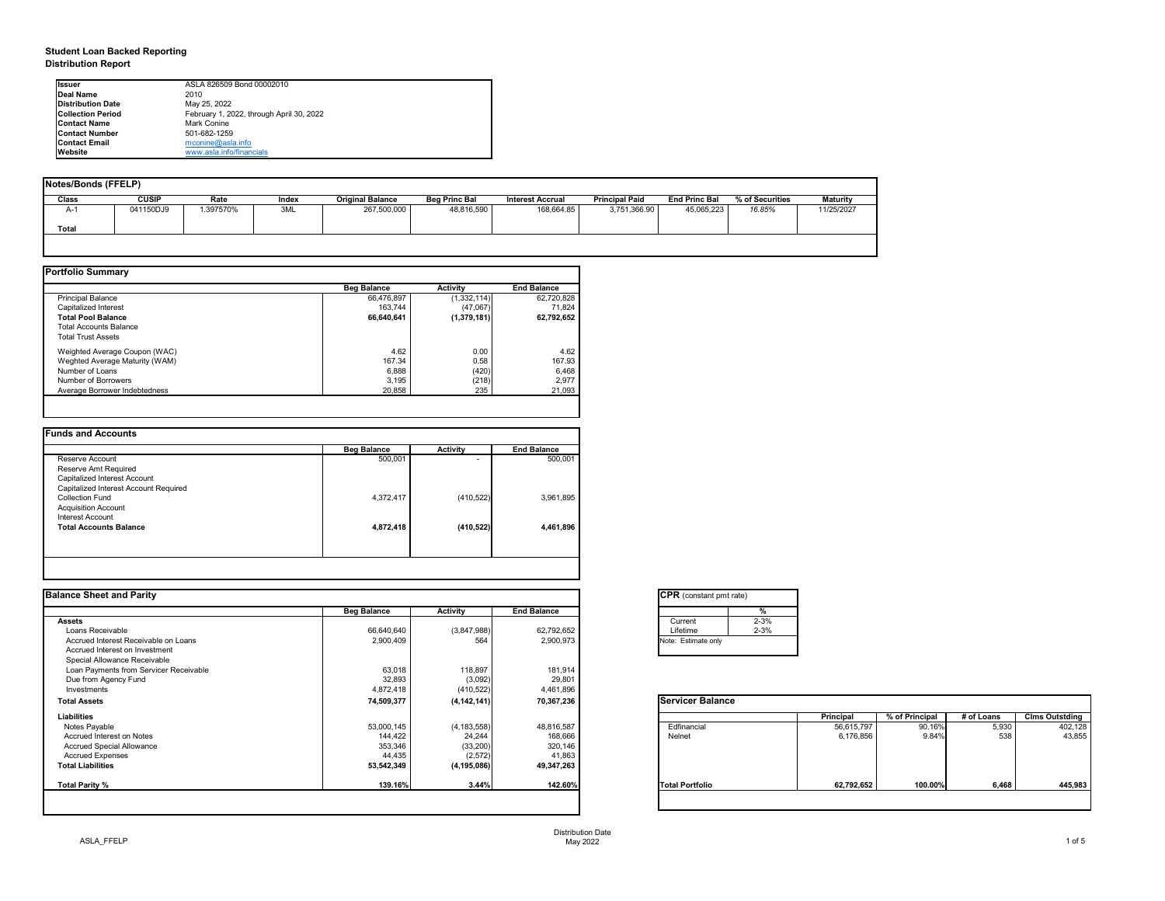## **Student Loan Backed Reporting Distribution Report**

| <b>Notes/Bonds (FFELP)</b> |              |          |       |                         |                      |                         |                       |                      |                 |                 |
|----------------------------|--------------|----------|-------|-------------------------|----------------------|-------------------------|-----------------------|----------------------|-----------------|-----------------|
| Class                      | <b>CUSIP</b> | Rate     | Index | <b>Original Balance</b> | <b>Beg Princ Bal</b> | <b>Interest Accrual</b> | <b>Principal Paid</b> | <b>End Princ Bal</b> | % of Securities | <b>Maturity</b> |
| A-1                        | 041150DJ9    | .397570% | 3ML   | 267,500,000             | 48,816,590           | 168,664.85              | 3,751,366.90          | 45,065,223           | 16.85%          | 11/25/2027      |
| <b>Total</b>               |              |          |       |                         |                      |                         |                       |                      |                 |                 |
|                            |              |          |       |                         |                      |                         |                       |                      |                 |                 |

|                                | <b>Beg Balance</b> | <b>Activity</b> | <b>End Balance</b> |
|--------------------------------|--------------------|-----------------|--------------------|
| <b>Principal Balance</b>       | 66,476,897         | (1,332,114)     | 62,720,828         |
| Capitalized Interest           | 163,744            | (47,067)        | 71,824             |
| <b>Total Pool Balance</b>      | 66,640,641         | (1,379,181)     | 62,792,652         |
| <b>Total Accounts Balance</b>  |                    |                 |                    |
| <b>Total Trust Assets</b>      |                    |                 |                    |
| Weighted Average Coupon (WAC)  | 4.62               | 0.00            | 4.62               |
| Weghted Average Maturity (WAM) | 167.34             | 0.58            | 167.93             |
| Number of Loans                | 6,888              | (420)           | 6,468              |
| Number of Borrowers            | 3,195              | (218)           | 2,977              |
| Average Borrower Indebtedness  | 20,858             | 235             | 21,093             |

| <b>Funds and Accounts</b>             |                    |                          |                    |
|---------------------------------------|--------------------|--------------------------|--------------------|
|                                       | <b>Beg Balance</b> | <b>Activity</b>          | <b>End Balance</b> |
| Reserve Account                       | 500,001            | $\overline{\phantom{0}}$ | 500,001            |
| Reserve Amt Required                  |                    |                          |                    |
| Capitalized Interest Account          |                    |                          |                    |
| Capitalized Interest Account Required |                    |                          |                    |
| <b>Collection Fund</b>                | 4,372,417          | (410, 522)               | 3,961,895          |
| <b>Acquisition Account</b>            |                    |                          |                    |
| Interest Account                      |                    |                          |                    |
| <b>Total Accounts Balance</b>         | 4,872,418          | (410, 522)               | 4,461,896          |
|                                       |                    |                          |                    |
|                                       |                    |                          |                    |
|                                       |                    |                          |                    |

## **Balance Sheet and Parity**

| <b>Ilssuer</b>           | ASLA 826509 Bond 00002010                |
|--------------------------|------------------------------------------|
| Deal Name                | 2010                                     |
| <b>Distribution Date</b> | May 25, 2022                             |
| <b>Collection Period</b> | February 1, 2022, through April 30, 2022 |
| <b>IContact Name</b>     | Mark Conine                              |
| <b>IContact Number</b>   | 501-682-1259                             |
| <b>Contact Email</b>     | mconine@asla.info                        |
| <b>IWebsite</b>          | www.asla.info/financials                 |

| <b>Activity</b><br>(3,847,988)<br>564<br>118,897<br>(3,092)<br>(410, 522) | <b>End Balance</b><br>62,792,652<br>2,900,973<br>181,914<br>29,801<br>4,461,896 | $\frac{0}{6}$<br>$2 - 3%$<br>Current<br>$2 - 3%$<br>Lifetime<br>Note: Estimate only |                  |                |            |                       |
|---------------------------------------------------------------------------|---------------------------------------------------------------------------------|-------------------------------------------------------------------------------------|------------------|----------------|------------|-----------------------|
|                                                                           |                                                                                 |                                                                                     |                  |                |            |                       |
|                                                                           |                                                                                 |                                                                                     |                  |                |            |                       |
|                                                                           |                                                                                 |                                                                                     |                  |                |            |                       |
|                                                                           |                                                                                 |                                                                                     |                  |                |            |                       |
|                                                                           |                                                                                 |                                                                                     |                  |                |            |                       |
|                                                                           |                                                                                 |                                                                                     |                  |                |            |                       |
|                                                                           |                                                                                 |                                                                                     |                  |                |            |                       |
|                                                                           |                                                                                 |                                                                                     |                  |                |            |                       |
|                                                                           |                                                                                 |                                                                                     |                  |                |            |                       |
| (4, 142, 141)                                                             | 70,367,236                                                                      | <b>Servicer Balance</b>                                                             |                  |                |            |                       |
|                                                                           |                                                                                 |                                                                                     | <b>Principal</b> | % of Principal | # of Loans | <b>Clms Outstding</b> |
| (4, 183, 558)                                                             | 48,816,587                                                                      | Edfinancial                                                                         | 56,615,797       | 90.16%         | 5,930      | 402,128               |
| 24,244                                                                    | 168,666                                                                         | Nelnet                                                                              | 6,176,856        | 9.84%          | 538        | 43,855                |
| (33, 200)                                                                 | 320,146                                                                         |                                                                                     |                  |                |            |                       |
| (2,572)                                                                   | 41,863                                                                          |                                                                                     |                  |                |            |                       |
| (4, 195, 086)                                                             | 49,347,263                                                                      |                                                                                     |                  |                |            |                       |
| 3.44%                                                                     | 142.60%                                                                         | <b>Total Portfolio</b>                                                              | 62,792,652       | 100.00%        | 6,468      | 445,983               |
| 53,000,145<br>144,422<br>353,346<br>44,435<br>53,542,349                  | 139.16%                                                                         |                                                                                     |                  |                |            |                       |

| $\overline{\text{C}}$ PR (cons |
|--------------------------------|
|                                |
| Current                        |
| Lifetime                       |
| Note: Estima                   |
|                                |

| tant pmt rate) |          |
|----------------|----------|
|                | %        |
|                | $2 - 3%$ |
|                | $2 - 3%$ |
| te only        |          |
|                |          |

| <b>Balance</b> |                  |                |            |                       |
|----------------|------------------|----------------|------------|-----------------------|
|                | <b>Principal</b> | % of Principal | # of Loans | <b>Clms Outstding</b> |
|                | 56,615,797       | 90.16%         | 5,930      | 402,128               |
|                | 6,176,856        | 9.84%          | 538        | 43,855                |
|                |                  |                |            |                       |
| lio            | 62,792,652       | 100.00%        | 6,468      | 445,983               |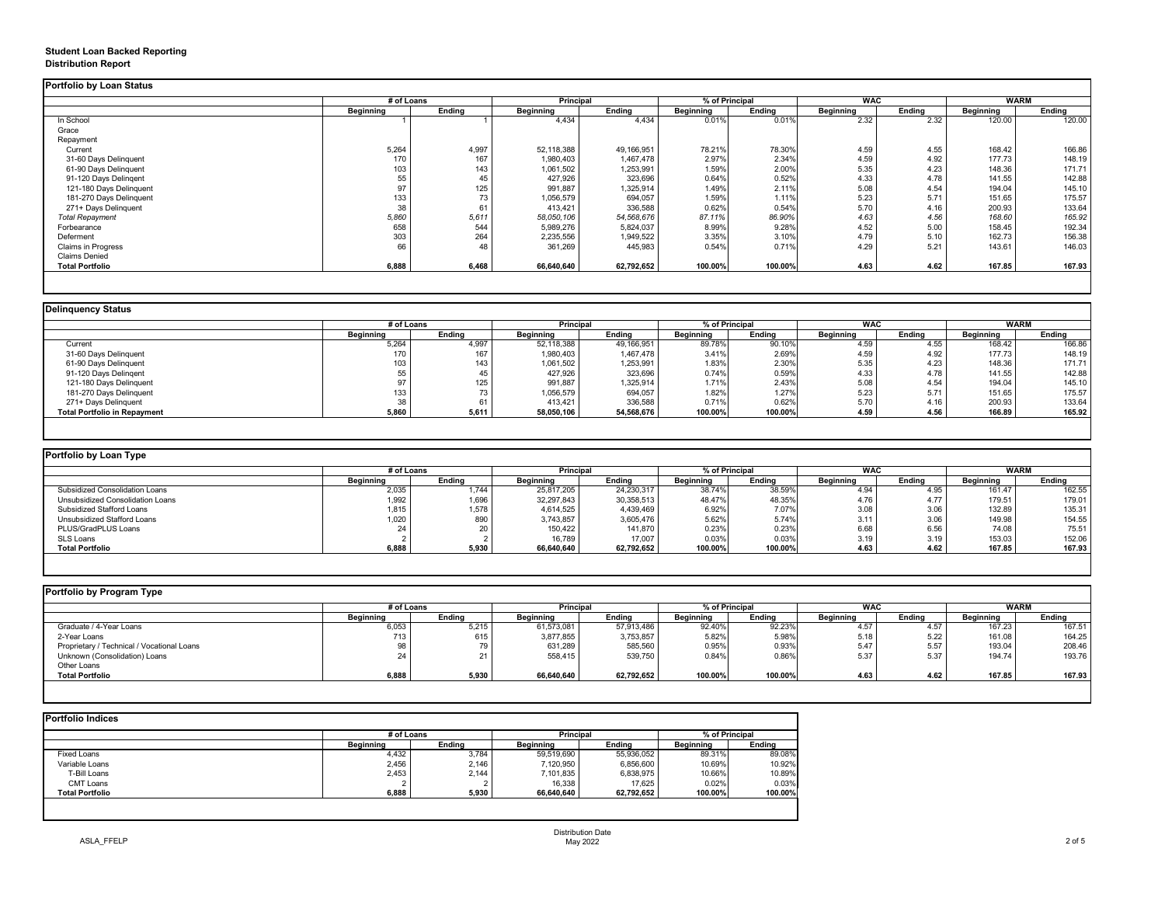## **Student Loan Backed Reporting Distribution Report**

## **Delinquency Status**

|                           | # of Loans       |               |                  | <b>Principal</b> |                  | % of Principal |                  | <b>WAC</b>    |                  | <b>WARM</b>   |  |
|---------------------------|------------------|---------------|------------------|------------------|------------------|----------------|------------------|---------------|------------------|---------------|--|
|                           | <b>Beginning</b> | <b>Ending</b> | <b>Beginning</b> | <b>Ending</b>    | <b>Beginning</b> | <b>Ending</b>  | <b>Beginning</b> | <b>Ending</b> | <b>Beginning</b> | <b>Ending</b> |  |
| In School                 |                  |               | 4,434            | 4,434            | 0.01%            | 0.01%          | 2.32             | 2.32          | 120.00           | 120.00        |  |
| Grace                     |                  |               |                  |                  |                  |                |                  |               |                  |               |  |
| Repayment                 |                  |               |                  |                  |                  |                |                  |               |                  |               |  |
| Current                   | 5,264            | 4,997         | 52,118,388       | 49,166,951       | 78.21%           | 78.30%         | 4.59             | 4.55          | 168.42           | 166.86        |  |
| 31-60 Days Delinquent     | 170              | 167           | 1,980,403        | 1,467,478        | 2.97%            | 2.34%          | 4.59             | 4.92          | 177.73           | 148.19        |  |
| 61-90 Days Delinquent     | 103              | 143           | 1,061,502        | 1,253,991        | 1.59%            | 2.00%          | 5.35             | 4.23          | 148.36           | 171.71        |  |
| 91-120 Days Delingent     | 55               | 45            | 427,926          | 323,696          | 0.64%            | 0.52%          | 4.33             | 4.78          | 141.55           | 142.88        |  |
| 121-180 Days Delinquent   | 97               | 125           | 991,887          | 1,325,914        | 1.49%            | 2.11%          | 5.08             | 4.54          | 194.04           | 145.10        |  |
| 181-270 Days Delinquent   | 133              | 73            | 1,056,579        | 694,057          | 1.59%            | 1.11%          | 5.23             | 5.71          | 151.65           | 175.57        |  |
| 271+ Days Delinquent      | 38               | 61            | 413,421          | 336,588          | 0.62%            | 0.54%          | 5.70             | 4.16          | 200.93           | 133.64        |  |
| <b>Total Repayment</b>    | 5,860            | 5,611         | 58,050,106       | 54,568,676       | 87.11%           | 86.90%         | 4.63             | 4.56          | 168.60           | 165.92        |  |
| Forbearance               | 658              | 544           | 5,989,276        | 5,824,037        | 8.99%            | 9.28%          | 4.52             | 5.00          | 158.45           | 192.34        |  |
| Deferment                 | 303              | 264           | 2,235,556        | 1,949,522        | 3.35%            | 3.10%          | 4.79             | 5.10          | 162.73           | 156.38        |  |
| <b>Claims in Progress</b> | 66               | 48            | 361,269          | 445,983          | 0.54%            | 0.71%          | 4.29             | 5.21          | 143.61           | 146.03        |  |
| <b>Claims Denied</b>      |                  |               |                  |                  |                  |                |                  |               |                  |               |  |
| <b>Total Portfolio</b>    | 6,888            | 6,468         | 66,640,640       | 62,792,652       | 100.00%          | 100.00%        | 4.63             | 4.62          | 167.85           | 167.93        |  |

|                                     |                  | # of Loans    |                  | <b>Principal</b> |                  | % of Principal |                  | <b>WAC</b>    |                  | <b>WARM</b>   |  |
|-------------------------------------|------------------|---------------|------------------|------------------|------------------|----------------|------------------|---------------|------------------|---------------|--|
|                                     | <b>Beginning</b> | <b>Ending</b> | <b>Beginning</b> | <b>Ending</b>    | <b>Beginning</b> | <b>Ending</b>  | <b>Beginning</b> | <b>Ending</b> | <b>Beginning</b> | <b>Ending</b> |  |
| Current                             | 5,264            | 4,997         | 52,118,388       | 49,166,951       | 89.78%           | 90.10%         | 4.59             | 4.55          | 168.42           | 166.86        |  |
| 31-60 Days Delinquent               | 170              | 167           | 1,980,403        | 1,467,478        | 3.41%            | 2.69%          | 4.59             | 4.92          | 177.73           | 148.19        |  |
| 61-90 Days Delinquent               | 103              | 143           | 1,061,502        | 1,253,991        | 1.83%            | 2.30%          | 5.35             | 4.23          | 148.36           | 171.71        |  |
| 91-120 Days Delingent               |                  |               | 427,926          | 323,696          | 0.74%            | 0.59%          | 4.33             | 4.78          | 141.55           | 142.88        |  |
| 121-180 Days Delinquent             |                  | 125           | 991,887          | 1,325,914        | 1.71%            | 2.43%          | 5.08             | 4.54          | 194.04           | 145.10        |  |
| 181-270 Days Delinquent             | 133              |               | 1,056,579        | 694,057          | 1.82%            | 1.27%          | 5.23             | 5.71          | 151.65           | 175.57        |  |
| 271+ Days Delinquent                | 38               | 61            | 413,421          | 336,588          | 0.71%            | 0.62%          | 5.70             | 4.16          | 200.93           | 133.64        |  |
| <b>Total Portfolio in Repayment</b> | 5,860            | 5,611         | 58,050,106       | 54,568,676       | 100.00%          | 100.00%        | 4.59             | 4.56          | 166.89           | 165.92        |  |

| Portfolio by Loan Type                  |                  |               |                  |               |                  |                |                  |               |                  |               |  |
|-----------------------------------------|------------------|---------------|------------------|---------------|------------------|----------------|------------------|---------------|------------------|---------------|--|
|                                         | # of Loans       |               | <b>Principal</b> |               |                  | % of Principal |                  | <b>WAC</b>    |                  | <b>WARM</b>   |  |
|                                         | <b>Beginning</b> | <b>Ending</b> | <b>Beginning</b> | <b>Ending</b> | <b>Beginning</b> | Ending         | <b>Beginning</b> | <b>Ending</b> | <b>Beginning</b> | <b>Ending</b> |  |
| <b>Subsidized Consolidation Loans</b>   | 2,035            | 1,744         | 25,817,205       | 24,230,317    | 38.74%           | 38.59%         | 4.94             | 4.95          | 161.47           | 162.55        |  |
| <b>Unsubsidized Consolidation Loans</b> | 1,992            | 1,696         | 32,297,843       | 30,358,513    | 48.47%           | 48.35%         | 4.76             | 4.77          | 179.51           | 179.01        |  |
| <b>Subsidized Stafford Loans</b>        | 1,815            | 1,578         | 4,614,525        | 4,439,469     | 6.92%            | 7.07%          | 3.08             | 3.06          | 132.89           | 135.31        |  |
| Unsubsidized Stafford Loans             | 0.020            | 890           | 3,743,857        | 3,605,476     | 5.62%            | 5.74%          | 3.11             | 3.06          | 149.98           | 154.55        |  |
| PLUS/GradPLUS Loans                     |                  | 20            | 150,422          | 141,870       | 0.23%            | 0.23%          | 6.68             | 6.56          | 74.08            | 75.51         |  |
| SLS Loans                               |                  |               | 16,789           | 17,007        | 0.03%            | 0.03%          | 3.19             | 3.19          | 153.03           | 152.06        |  |
| <b>Total Portfolio</b>                  | 6,888            | 5,930         | 66,640,640       | 62,792,652    | 100.00%          | 100.00%        | 4.63             | 4.62          | 167.85           | 167.93        |  |

|  |  | Portfolio by Program Typo |  |
|--|--|---------------------------|--|
|--|--|---------------------------|--|

| Portfolio by Program Type                  |                  |               |                  |               |                  |         |                  |               |                  |               |
|--------------------------------------------|------------------|---------------|------------------|---------------|------------------|---------|------------------|---------------|------------------|---------------|
|                                            | # of Loans       |               | <b>Principal</b> |               | % of Principal   |         | <b>WAC</b>       |               | <b>WARM</b>      |               |
|                                            | <b>Beginning</b> | <b>Ending</b> | <b>Beginning</b> | <b>Ending</b> | <b>Beginning</b> | Ending  | <b>Beginning</b> | <b>Ending</b> | <b>Beginning</b> | <b>Ending</b> |
| Graduate / 4-Year Loans                    | 6,053            | 5,215         | 61,573,081       | 57,913,486    | 92.40%           | 92.23%  | 4.57             | 4.57          | 167.23           | 167.51        |
| 2-Year Loans                               | 713 <sub>1</sub> | 615           | 3,877,855        | 3,753,857     | 5.82%            | 5.98%   | 5.18             | 5.22          | 161.08           | 164.25        |
| Proprietary / Technical / Vocational Loans |                  |               | 631,289          | 585,560       | 0.95%            | 0.93%   | 5.47             | 5.57          | 193.04           | 208.46        |
| Unknown (Consolidation) Loans              |                  |               | 558,415          | 539,750       | 0.84%            | 0.86%   | 5.37             | 5.37          | 194.74           | 193.76        |
| Other Loans                                |                  |               |                  |               |                  |         |                  |               |                  |               |
| <b>Total Portfolio</b>                     | 6,888            | 5,930         | 66,640,640       | 62,792,652    | 100.00%          | 100.00% | 4.63             | 4.62          | 167.85           | 167.93        |
|                                            |                  |               |                  |               |                  |         |                  |               |                  |               |

|                        | # of Loans       |               | <b>Principal</b> |               | % of Principal   |               |
|------------------------|------------------|---------------|------------------|---------------|------------------|---------------|
|                        | <b>Beginning</b> | <b>Ending</b> | <b>Beginning</b> | <b>Ending</b> | <b>Beginning</b> | <b>Ending</b> |
| <b>Fixed Loans</b>     | 4,432            | 3,784         | 59,519,690       | 55,936,052    | 89.31%           | 89.08%        |
| Variable Loans         | 2,456            | 2,146         | 7,120,950        | 6,856,600     | 10.69%           | 10.92%        |
| T-Bill Loans           | 2,453            | 2,144         | 7,101,835        | 6,838,975     | 10.66%           | 10.89%        |
| <b>CMT Loans</b>       |                  |               | 16,338           | 17,625        | 0.02%            | 0.03%         |
| <b>Total Portfolio</b> | 6,888            | 5,930         | 66,640,640       | 62,792,652    | 100.00%          | 100.00%       |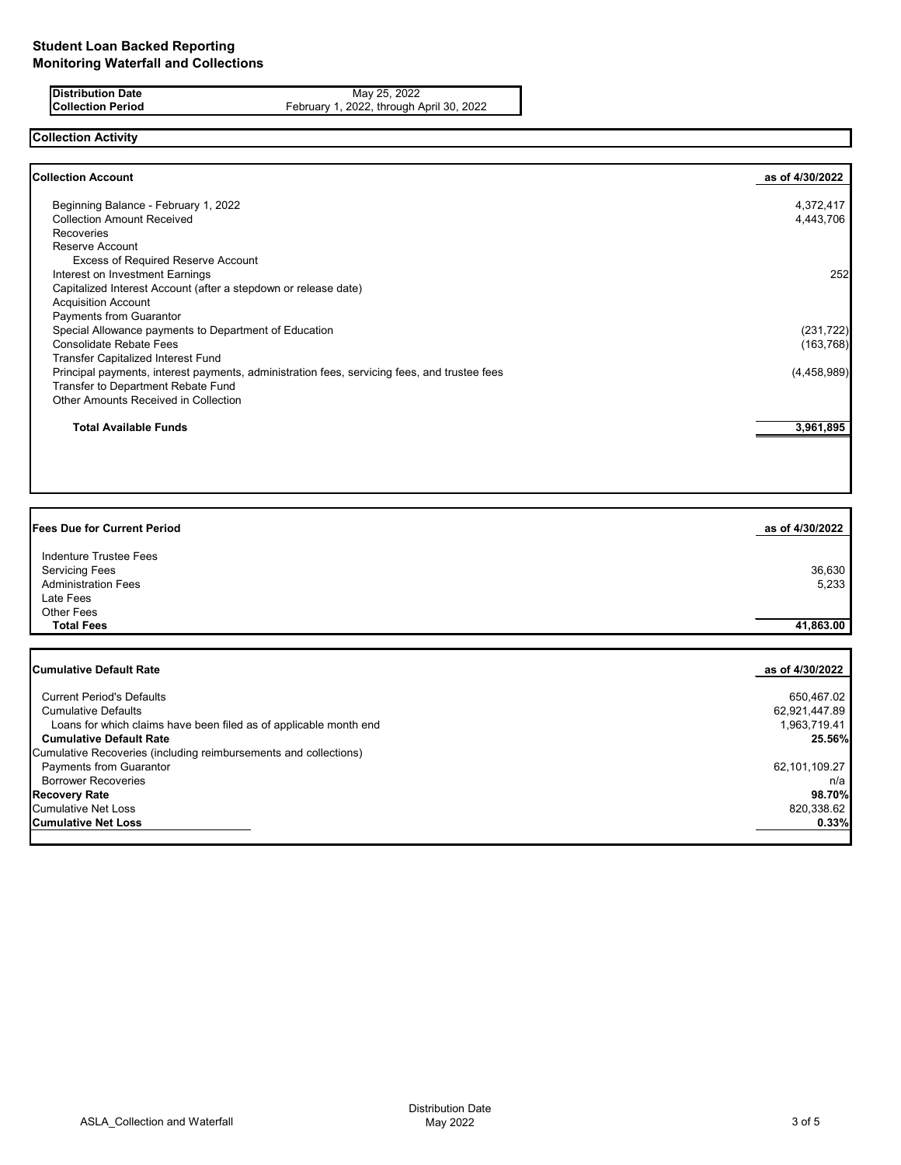**Distribution Date** May 25, 2022<br>**Collection Period** February 1, 2022, through A **Collection Period** February 1, 2022, through April 30, 2022

# **Collection Activity**

| <b>Collection Account</b>                                                                    | as of 4/30/2022 |
|----------------------------------------------------------------------------------------------|-----------------|
| Beginning Balance - February 1, 2022                                                         | 4,372,417       |
| <b>Collection Amount Received</b>                                                            | 4,443,706       |
| <b>Recoveries</b>                                                                            |                 |
| Reserve Account                                                                              |                 |
| <b>Excess of Required Reserve Account</b>                                                    |                 |
| Interest on Investment Earnings                                                              | 252             |
| Capitalized Interest Account (after a stepdown or release date)                              |                 |
| <b>Acquisition Account</b>                                                                   |                 |
| Payments from Guarantor                                                                      |                 |
| Special Allowance payments to Department of Education                                        | (231, 722)      |
| <b>Consolidate Rebate Fees</b>                                                               | (163, 768)      |
| <b>Transfer Capitalized Interest Fund</b>                                                    |                 |
| Principal payments, interest payments, administration fees, servicing fees, and trustee fees | (4,458,989)     |
| <b>Transfer to Department Rebate Fund</b>                                                    |                 |
| Other Amounts Received in Collection                                                         |                 |
| <b>Total Available Funds</b>                                                                 | 3,961,895       |
|                                                                                              |                 |

| <b>Fees Due for Current Period</b>                                | as of 4/30/2022 |
|-------------------------------------------------------------------|-----------------|
| <b>Indenture Trustee Fees</b>                                     |                 |
| <b>Servicing Fees</b>                                             | 36,630          |
| <b>Administration Fees</b>                                        | 5,233           |
| Late Fees                                                         |                 |
| <b>Other Fees</b>                                                 |                 |
| <b>Total Fees</b>                                                 | 41,863.00       |
|                                                                   |                 |
| <b>Cumulative Default Rate</b>                                    | as of 4/30/2022 |
| <b>Current Period's Defaults</b>                                  | 650,467.02      |
| <b>Cumulative Defaults</b>                                        | 62,921,447.89   |
| Loans for which claims have been filed as of applicable month end | 1,963,719.41    |
| <b>Cumulative Default Rate</b>                                    | 25.56%          |
| Cumulative Recoveries (including reimbursements and collections)  |                 |
| <b>Payments from Guarantor</b>                                    | 62,101,109.27   |
| <b>Borrower Recoveries</b>                                        | n/a             |
| <b>Recovery Rate</b>                                              | 98.70%          |
| <b>Cumulative Net Loss</b>                                        | 820,338.62      |
| <b>Cumulative Net Loss</b>                                        | 0.33%           |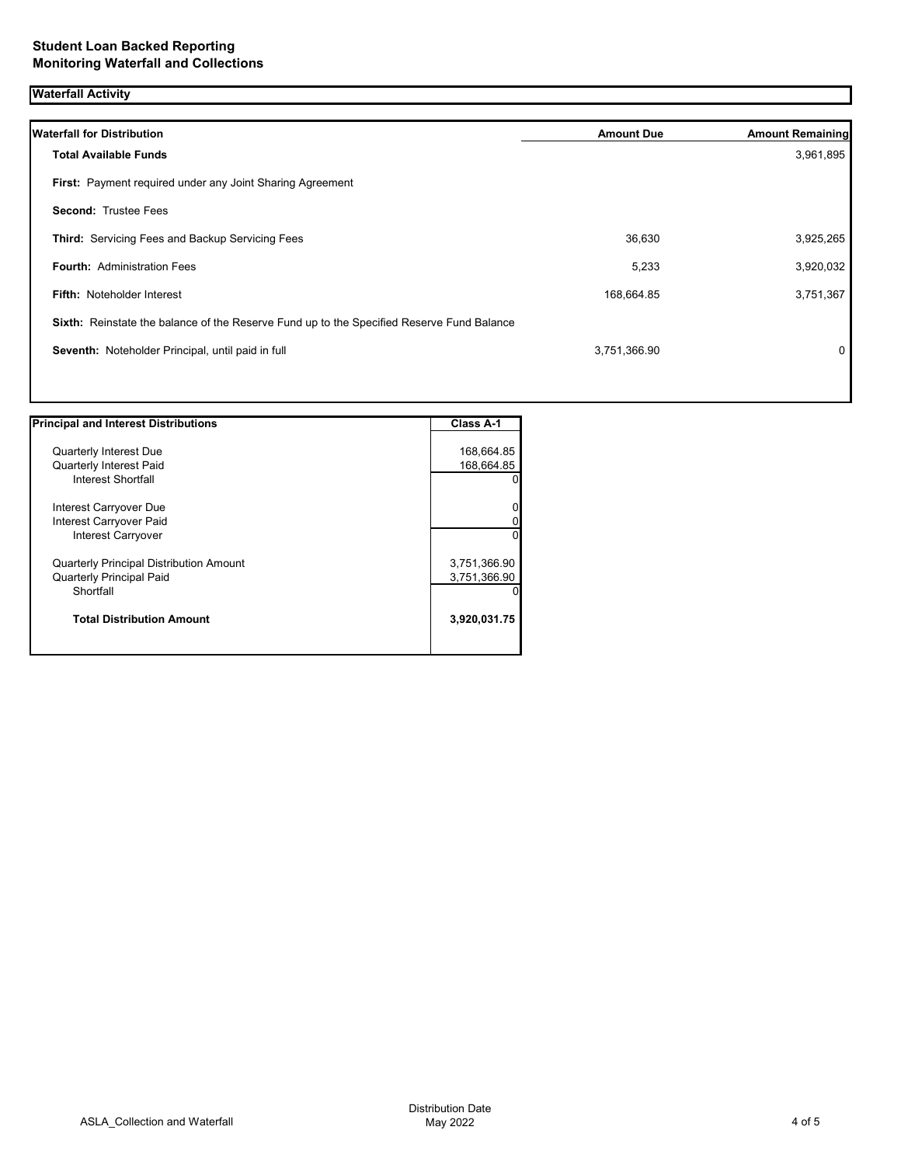# **Waterfall Activity**

| <b>Waterfall for Distribution</b>                                                         | <b>Amount Due</b> | <b>Amount Remaining</b> |
|-------------------------------------------------------------------------------------------|-------------------|-------------------------|
| <b>Total Available Funds</b>                                                              |                   | 3,961,895               |
| First: Payment required under any Joint Sharing Agreement                                 |                   |                         |
| <b>Second: Trustee Fees</b>                                                               |                   |                         |
| Third: Servicing Fees and Backup Servicing Fees                                           | 36,630            | 3,925,265               |
| <b>Fourth: Administration Fees</b>                                                        | 5,233             | 3,920,032               |
| <b>Fifth: Noteholder Interest</b>                                                         | 168,664.85        | 3,751,367               |
| Sixth: Reinstate the balance of the Reserve Fund up to the Specified Reserve Fund Balance |                   |                         |
| Seventh: Noteholder Principal, until paid in full                                         | 3,751,366.90      | 0                       |
|                                                                                           |                   |                         |

| <b>Principal and Interest Distributions</b>    | Class A-1    |
|------------------------------------------------|--------------|
|                                                |              |
| <b>Quarterly Interest Due</b>                  | 168,664.85   |
| <b>Quarterly Interest Paid</b>                 | 168,664.85   |
| Interest Shortfall                             | 01           |
| Interest Carryover Due                         | 0l           |
| Interest Carryover Paid                        | 0            |
| <b>Interest Carryover</b>                      | $\Omega$     |
| <b>Quarterly Principal Distribution Amount</b> | 3,751,366.90 |
| <b>Quarterly Principal Paid</b>                | 3,751,366.90 |
| Shortfall                                      | 0            |
| <b>Total Distribution Amount</b>               | 3,920,031.75 |
|                                                |              |